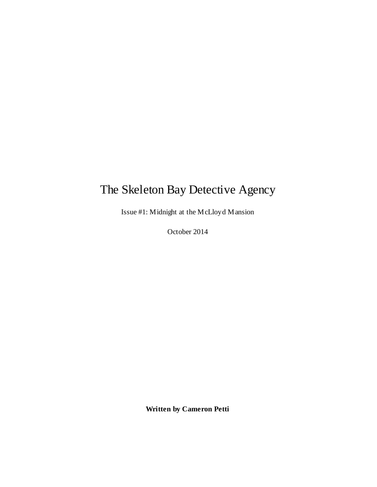# The Skeleton Bay Detective Agency

Issue #1: Midnight at the McLloyd Mansion

October 2014

**Written by Cameron Petti**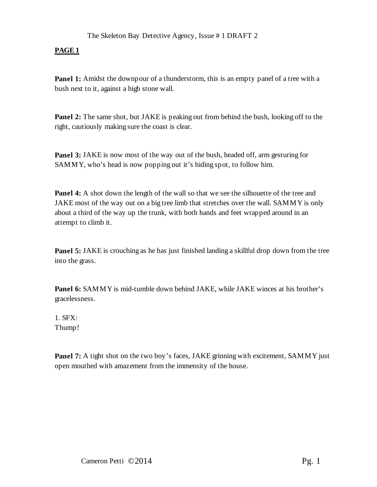**Panel 1:** Amidst the downpour of a thunderstorm, this is an empty panel of a tree with a bush next to it, against a high stone wall.

**Panel 2:** The same shot, but JAKE is peaking out from behind the bush, looking off to the right, cautiously making sure the coast is clear.

**Panel 3:** JAKE is now most of the way out of the bush, headed off, arm gesturing for SAMMY, who's head is now popping out it's hiding spot, to follow him.

**Panel 4:** A shot down the length of the wall so that we see the silhouette of the tree and JAKE most of the way out on a big tree limb that stretches over the wall. SAMMY is only about a third of the way up the trunk, with both hands and feet wrapped around in an attempt to climb it.

**Panel 5:** JAKE is crouching as he has just finished landing a skillful drop down from the tree into the grass.

**Panel 6:** SAMMY is mid-tumble down behind JAKE, while JAKE winces at his brother's gracelessness.

1. SFX: Thump!

**Panel 7:** A tight shot on the two boy's faces, JAKE grinning with excitement, SAMMY just open mouthed with amazement from the immensity of the house.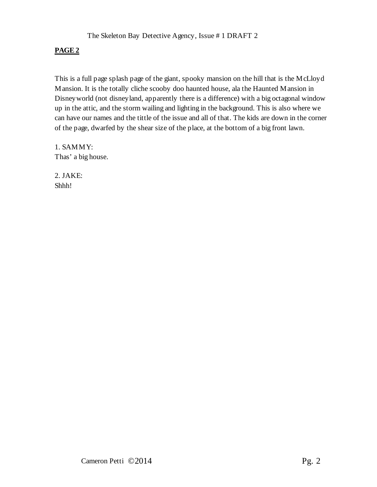This is a full page splash page of the giant, spooky mansion on the hill that is the McLloyd Mansion. It is the totally cliche scooby doo haunted house, ala the Haunted Mansion in Disneyworld (not disneyland, apparently there is a difference) with a big octagonal window up in the attic, and the storm wailing and lighting in the background. This is also where we can have our names and the tittle of the issue and all of that. The kids are down in the corner of the page, dwarfed by the shear size of the place, at the bottom of a big front lawn.

1. SAMMY: Thas' a big house.

2. JAKE: Shhh!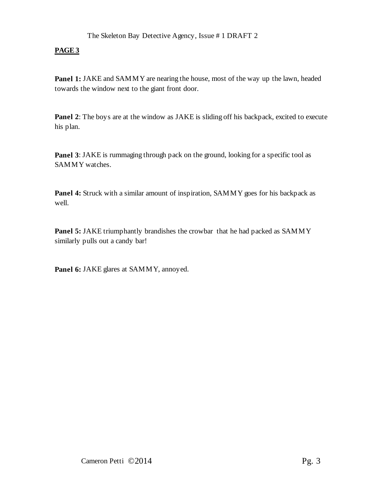**Panel 1:** JAKE and SAMMY are nearing the house, most of the way up the lawn, headed towards the window next to the giant front door.

Panel 2: The boys are at the window as JAKE is sliding off his backpack, excited to execute his plan.

**Panel 3**: JAKE is rummaging through pack on the ground, looking for a specific tool as SAMMY watches.

**Panel 4:** Struck with a similar amount of inspiration, SAMMY goes for his backpack as well.

**Panel 5: JAKE** triumphantly brandishes the crowbar that he had packed as SAMMY similarly pulls out a candy bar!

**Panel 6:** JAKE glares at SAMMY, annoyed.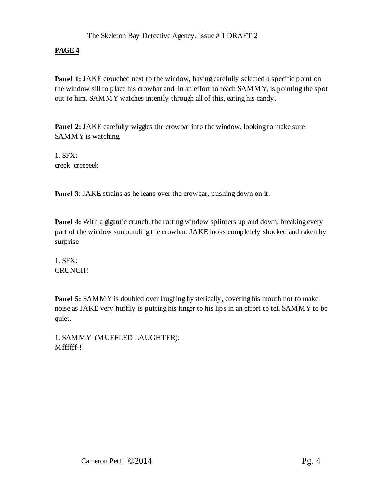**Panel 1:** JAKE crouched next to the window, having carefully selected a specific point on the window sill to place his crowbar and, in an effort to teach SAMMY, is pointing the spot out to him. SAMMY watches intently through all of this, eating his candy.

**Panel 2:** JAKE carefully wiggles the crowbar into the window, looking to make sure SAMMY is watching.

1. SFX: creek creeeeek

**Panel 3:** JAKE strains as he leans over the crowbar, pushing down on it.

**Panel 4:** With a gigantic crunch, the rotting window splinters up and down, breaking every part of the window surrounding the crowbar. JAKE looks completely shocked and taken by surprise

1. SFX: CRUNCH!

**Panel 5:** SAMMY is doubled over laughing hysterically, covering his mouth not to make noise as JAKE very huffily is putting his finger to his lips in an effort to tell SAMMY to be quiet.

1. SAMMY (MUFFLED LAUGHTER): Mffffff-!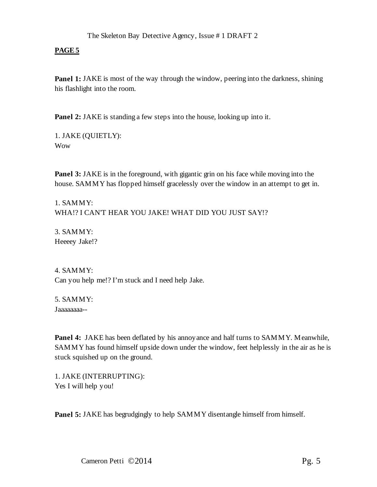**Panel 1:** JAKE is most of the way through the window, peering into the darkness, shining his flashlight into the room.

**Panel 2:** JAKE is standing a few steps into the house, looking up into it.

1. JAKE (QUIETLY): Wow

**Panel 3:** JAKE is in the foreground, with gigantic grin on his face while moving into the house. SAMMY has flopped himself gracelessly over the window in an attempt to get in.

1. SAMMY: WHA!? I CAN'T HEAR YOU JAKE! WHAT DID YOU JUST SAY!?

3. SAMMY: Heeeey Jake!?

4. SAMMY: Can you help me!? I'm stuck and I need help Jake.

5. SAMMY: Jaaaaaaaa--

**Panel 4:** JAKE has been deflated by his annoyance and half turns to SAMMY. Meanwhile, SAMMY has found himself upside down under the window, feet helplessly in the air as he is stuck squished up on the ground.

1. JAKE (INTERRUPTING): Yes I will help you!

**Panel 5:** JAKE has begrudgingly to help SAMMY disentangle himself from himself.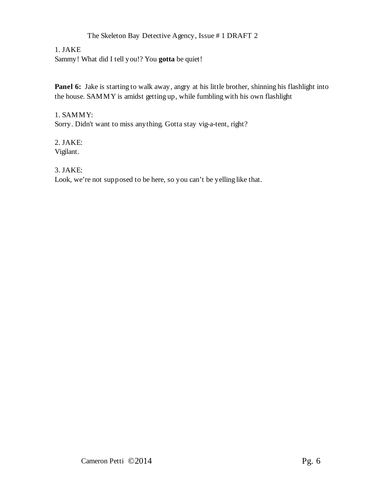# The Skeleton Bay Detective Agency, Issue # 1 DRAFT 2

#### 1. JAKE

Sammy! What did I tell you!? You **gotta** be quiet!

Panel 6: Jake is starting to walk away, angry at his little brother, shinning his flashlight into the house. SAMMY is amidst getting up, while fumbling with his own flashlight

1. SAMMY: Sorry. Didn't want to miss anything. Gotta stay vig-a-tent, right?

2. JAKE: Vigilant.

3. JAKE:

Look, we're not supposed to be here, so you can't be yelling like that.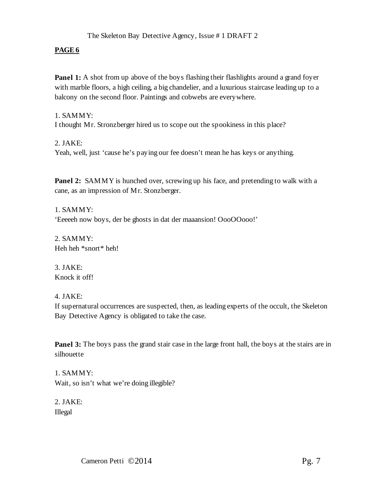## The Skeleton Bay Detective Agency, Issue # 1 DRAFT 2

## **PAGE6**

**Panel 1:** A shot from up above of the boys flashing their flashlights around a grand foyer with marble floors, a high ceiling, a big chandelier, and a luxurious staircase leading up to a balcony on the second floor. Paintings and cobwebs are everywhere.

#### 1. SAMMY:

I thought Mr. Stronzberger hired us to scope out the spookiness in this place?

#### 2. JAKE:

Yeah, well, just 'cause he's paying our fee doesn't mean he has keys or anything.

**Panel 2:** SAMMY is hunched over, screwing up his face, and pretending to walk with a cane, as an impression of Mr. Stonzberger.

1. SAMMY: 'Eeeeeh now boys, der be ghosts in dat der maaansion! OooOOooo!'

2. SAMMY: Heh heh \*snort\* heh!

3. JAKE: Knock it off!

#### 4. JAKE:

If supernatural occurrences are suspected, then, as leading experts of the occult, the Skeleton Bay Detective Agency is obligated to take the case.

**Panel 3:** The boys pass the grand stair case in the large front hall, the boys at the stairs are in silhouette

1. SAMMY: Wait, so isn't what we're doing illegible?

2. JAKE: Illegal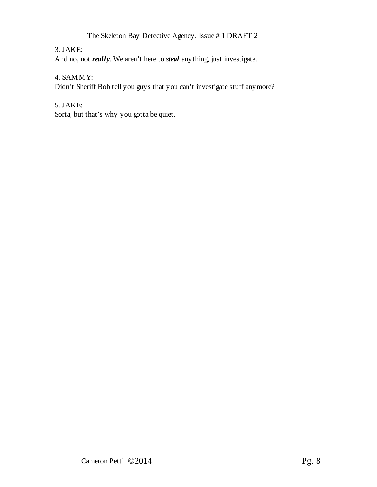# The Skeleton Bay Detective Agency, Issue # 1 DRAFT 2

# 3. JAKE:

And no, not *really*. We aren't here to *steal* anything, just investigate.

## 4. SAMMY:

Didn't Sheriff Bob tell you guys that you can't investigate stuff anymore?

## 5. JAKE:

Sorta, but that's why you gotta be quiet.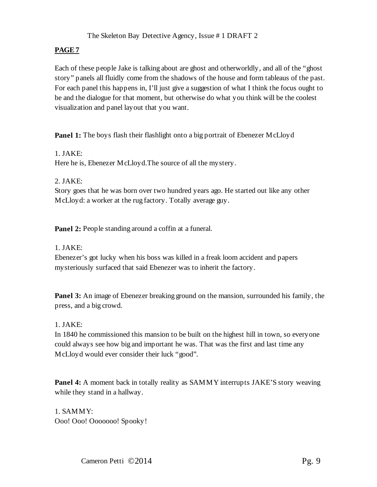Each of these people Jake is talking about are ghost and otherworldly, and all of the "ghost story" panels all fluidly come from the shadows of the house and form tableaus of the past. For each panel this happens in, I'll just give a suggestion of what I think the focus ought to be and the dialogue for that moment, but otherwise do what you think will be the coolest visualization and panel layout that you want.

**Panel 1:** The boys flash their flashlight onto a big portrait of Ebenezer McLloyd

1. JAKE: Here he is, Ebenezer McLloyd. The source of all the mystery.

2. JAKE:

Story goes that he was born over two hundred years ago. He started out like any other McLloyd: a worker at the rug factory. Totally average guy.

**Panel 2:** People standing around a coffin at a funeral.

## 1. JAKE:

Ebenezer's got lucky when his boss was killed in a freak loom accident and papers mysteriously surfaced that said Ebenezer was to inherit the factory.

**Panel 3:** An image of Ebenezer breaking ground on the mansion, surrounded his family, the press, and a big crowd.

## 1. JAKE:

In 1840 he commissioned this mansion to be built on the highest hill in town, so everyone could always see how big and important he was. That was the first and last time any McLloyd would ever consider their luck "good".

**Panel 4:** A moment back in totally reality as SAMMY interrupts JAKE'S story weaving while they stand in a hallway.

1. SAMMY: Ooo! Ooo! Ooooooo! Spooky!